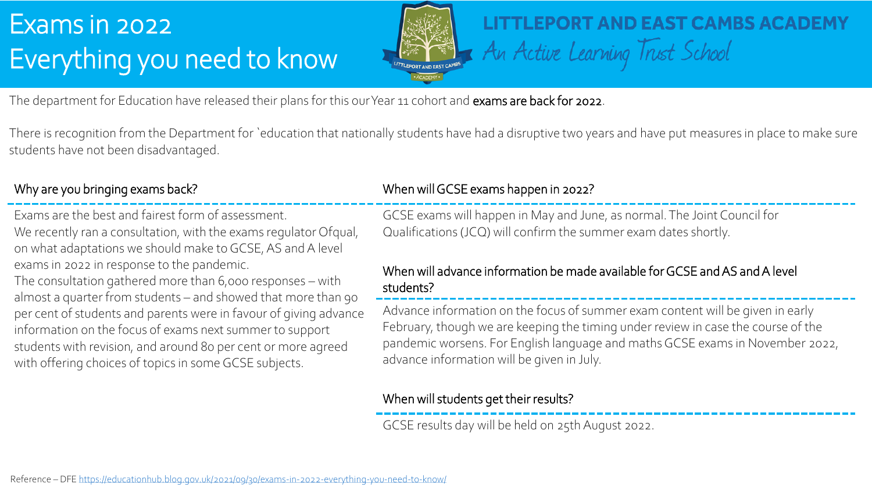### Exams in 2022 Exams in 2022  $E$ von thing you need t Everything you need to know



## **LITTLEPORT AND EAST CAMBS ACADEMY** An Active Learning Trust School

The department for Education have released their plans for this our Year 11 cohort and exams are back for 2022.

There is recognition from the Department for `education that nationally students have had a disruptive two years and have put measures in place to make sure students have not been disadvantaged.

### Why are you bringing exams back?

Exams are the best and fairest form of assessment. We recently ran a consultation, with the exams regulator Ofqual, on what adaptations we should make to GCSE, AS and A level exams in 2022 in response to the pandemic.

The consultation gathered more than 6,000 responses – with almost a quarter from students – and showed that more than 90 per cent of students and parents were in favour of giving advance information on the focus of exams next summer to support students with revision, and around 80 per cent or more agreed with offering choices of topics in some GCSE subjects.

### When will GCSE exams happen in 2022?

GCSE exams will happen in May and June, as normal. The Joint Council for Qualifications (JCQ) will confirm the summer exam dates shortly.

### When will advance information be made available for GCSE and AS and A level students?

Advance information on the focus of summer exam content will be given in early February, though we are keeping the timing under review in case the course of the pandemic worsens. For English language and maths GCSE exams in November 2022, advance information will be given in July.

### When will students get their results?

GCSE results day will be held on 25th August 2022.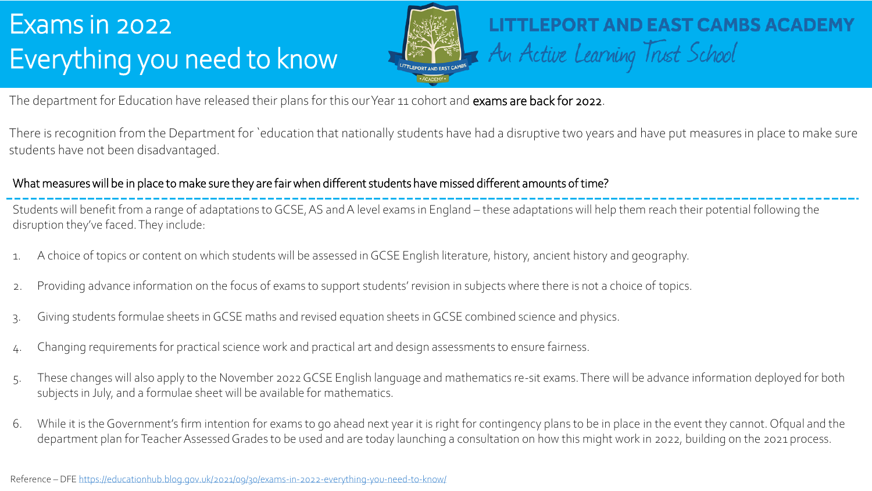# Exams in 2022 Everything you need to know



## **LITTLEPORT AND EAST CAMBS ACADEMY** An Active Learning Trust School

The department for Education have released their plans for this our Year 11 cohort and exams are back for 2022.

There is recognition from the Department for `education that nationally students have had a disruptive two years and have put measures in place to make sure students have not been disadvantaged.

#### What measures will be in place to make sure they are fair when different students have missed different amounts of time?

Students will benefit from a range of adaptations to GCSE, AS and A level exams in England – these adaptations will help them reach their potential following the disruption they've faced. They include:

- 1. A choice of topics or content on which students will be assessed in GCSE English literature, history, ancient history and geography.
- 2. Providing advance information on the focus of exams to support students' revision in subjects where there is not a choice of topics.
- 3. Giving students formulae sheets in GCSE maths and revised equation sheets in GCSE combined science and physics.
- 4. Changing requirements for practical science work and practical art and design assessments to ensure fairness.
- 5. These changes will also apply to the November 2022 GCSE English language and mathematics re-sit exams. There will be advance information deployed for both subjects in July, and a formulae sheet will be available for mathematics.
- 6. While it is the Government's firm intention for exams to go ahead next year it is right for contingency plans to be in place in the event they cannot. Ofqual and the department plan for Teacher Assessed Grades to be used and are today launching a consultation on how this might work in 2022, building on the 2021 process.